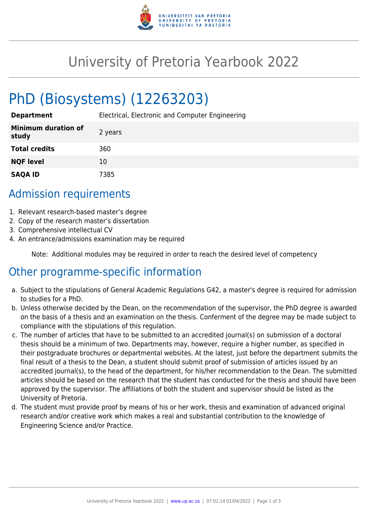

## University of Pretoria Yearbook 2022

# PhD (Biosystems) (12263203)

**Department** Electrical, Electronic and Computer Engineering

| <b>Minimum duration of</b><br>study | 2 years |
|-------------------------------------|---------|
| <b>Total credits</b>                | 360     |
| <b>NQF level</b>                    | 10      |
| <b>SAQA ID</b>                      | 7385    |

## Admission requirements

- 1. Relevant research-based master's degree
- 2. Copy of the research master's dissertation
- 3. Comprehensive intellectual CV
- 4. An entrance/admissions examination may be required

Note: Additional modules may be required in order to reach the desired level of competency

## Other programme-specific information

- a. Subject to the stipulations of General Academic Regulations G42, a master's degree is required for admission to studies for a PhD.
- b. Unless otherwise decided by the Dean, on the recommendation of the supervisor, the PhD degree is awarded on the basis of a thesis and an examination on the thesis. Conferment of the degree may be made subject to compliance with the stipulations of this regulation.
- c. The number of articles that have to be submitted to an accredited journal(s) on submission of a doctoral thesis should be a minimum of two. Departments may, however, require a higher number, as specified in their postgraduate brochures or departmental websites. At the latest, just before the department submits the final result of a thesis to the Dean, a student should submit proof of submission of articles issued by an accredited journal(s), to the head of the department, for his/her recommendation to the Dean. The submitted articles should be based on the research that the student has conducted for the thesis and should have been approved by the supervisor. The affiliations of both the student and supervisor should be listed as the University of Pretoria.
- d. The student must provide proof by means of his or her work, thesis and examination of advanced original research and/or creative work which makes a real and substantial contribution to the knowledge of Engineering Science and/or Practice.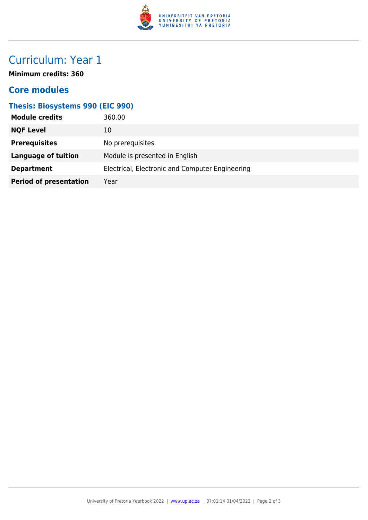

## Curriculum: Year 1

**Minimum credits: 360**

#### **Core modules**

#### **Thesis: Biosystems 990 (EIC 990)**

| <b>Module credits</b>         | 360.00                                          |
|-------------------------------|-------------------------------------------------|
| <b>NQF Level</b>              | 10                                              |
| <b>Prerequisites</b>          | No prerequisites.                               |
| <b>Language of tuition</b>    | Module is presented in English                  |
| <b>Department</b>             | Electrical, Electronic and Computer Engineering |
| <b>Period of presentation</b> | Year                                            |